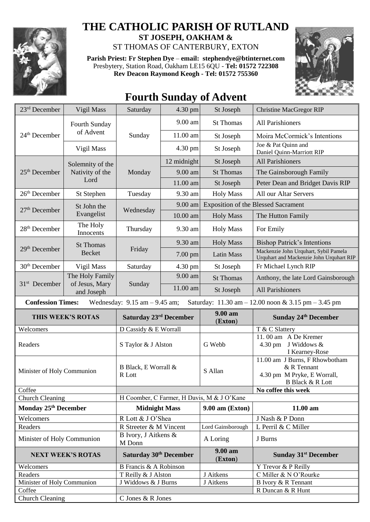

## **THE CATHOLIC PARISH OF RUTLAND ST JOSEPH, OAKHAM &**

ST THOMAS OF CANTERBURY, EXTON

**Parish Priest: Fr Stephen Dye** – **[email: stephendye@btinternet.com](mailto:email:%20%20stephendye@btinternet.com)** Presbytery, Station Road, Oakham LE15 6QU - **Tel: 01572 722308 Rev Deacon Raymond Keogh - Tel: 01572 755360**



## **Fourth Sunday of Advent**

| $23rd$ December                                                                                                                                         | Vigil Mass                                  | Saturday                           | 4.30 pm     | St Joseph                                  | <b>Christine MacGregor RIP</b>                                                                              |  |
|---------------------------------------------------------------------------------------------------------------------------------------------------------|---------------------------------------------|------------------------------------|-------------|--------------------------------------------|-------------------------------------------------------------------------------------------------------------|--|
| $24th$ December                                                                                                                                         | Fourth Sunday<br>of Advent                  | Sunday                             | 9.00 am     | <b>St Thomas</b>                           | All Parishioners                                                                                            |  |
|                                                                                                                                                         |                                             |                                    | 11.00 am    | St Joseph                                  | Moira McCormick's Intentions                                                                                |  |
|                                                                                                                                                         | Vigil Mass                                  |                                    | 4.30 pm     | St Joseph                                  | Joe & Pat Quinn and<br>Daniel Quinn-Marriott RIP                                                            |  |
| $25th$ December                                                                                                                                         | Solemnity of the<br>Nativity of the<br>Lord | Monday                             | 12 midnight | St Joseph                                  | <b>All Parishioners</b>                                                                                     |  |
|                                                                                                                                                         |                                             |                                    | 9.00 am     | <b>St Thomas</b>                           | The Gainsborough Family                                                                                     |  |
|                                                                                                                                                         |                                             |                                    | 11.00 am    | St Joseph                                  | Peter Dean and Bridget Davis RIP                                                                            |  |
| 26 <sup>th</sup> December                                                                                                                               | St Stephen                                  | Tuesday                            | 9.30 am     | <b>Holy Mass</b>                           | All our Altar Servers                                                                                       |  |
| 27 <sup>th</sup> December                                                                                                                               | St John the<br>Evangelist                   | Wednesday                          | 9.00 am     | <b>Exposition of the Blessed Sacrament</b> |                                                                                                             |  |
|                                                                                                                                                         |                                             |                                    | 10.00 am    | <b>Holy Mass</b>                           | The Hutton Family                                                                                           |  |
| 28 <sup>th</sup> December                                                                                                                               | The Holy<br>Innocents                       | Thursday                           | 9.30 am     | <b>Holy Mass</b>                           | For Emily                                                                                                   |  |
| 29 <sup>th</sup> December                                                                                                                               | <b>St Thomas</b><br><b>Becket</b>           | Friday                             | 9.30 am     | <b>Holy Mass</b>                           | <b>Bishop Patrick's Intentions</b>                                                                          |  |
|                                                                                                                                                         |                                             |                                    | 7.00 pm     | <b>Latin Mass</b>                          | Mackenzie John Urquhart, Sybil Pamela<br>Urquhart and Mackenzie John Urquhart RIP                           |  |
| 30 <sup>th</sup> December                                                                                                                               | Vigil Mass                                  | Saturday                           | 4.30 pm     | St Joseph                                  | Fr Michael Lynch RIP                                                                                        |  |
| $31st$ December                                                                                                                                         | The Holy Family<br>of Jesus, Mary           | Sunday                             | 9.00 am     | <b>St Thomas</b>                           | Anthony, the late Lord Gainsborough                                                                         |  |
|                                                                                                                                                         | and Joseph                                  |                                    | 11.00 am    | St Joseph                                  | All Parishioners                                                                                            |  |
| <b>Confession Times:</b><br>Wednesday: $9.15$ am $- 9.45$ am;<br>Saturday: $11.30 \text{ am} - 12.00 \text{ noon} \& 3.15 \text{ pm} - 3.45 \text{ pm}$ |                                             |                                    |             |                                            |                                                                                                             |  |
|                                                                                                                                                         |                                             |                                    |             |                                            |                                                                                                             |  |
|                                                                                                                                                         | THIS WEEK'S ROTAS                           | Saturday 23 <sup>rd</sup> December |             | 9.00 am<br>(Exton)                         | <b>Sunday 24th December</b>                                                                                 |  |
| Welcomers                                                                                                                                               |                                             | D Cassidy & E Worrall              |             |                                            | T & C Slattery                                                                                              |  |
| Readers                                                                                                                                                 |                                             | S Taylor & J Alston                |             | G Webb                                     | 11.00 am A De Kremer<br>J Widdows &<br>4.30 pm<br>I Kearney-Rose                                            |  |
| Minister of Holy Communion                                                                                                                              |                                             | B Black, E Worrall &<br>R Lott     |             | S Allan                                    | 11.00 am J Burns, F Rhowbotham<br>& R Tennant<br>4.30 pm M Pryke, E Worrall,<br><b>B Black &amp; R Lott</b> |  |
| Coffee                                                                                                                                                  |                                             |                                    |             |                                            | No coffee this week                                                                                         |  |
| <b>Church Cleaning</b>                                                                                                                                  |                                             |                                    |             | H Coomber, C Farmer, H Davis, M & J O'Kane |                                                                                                             |  |
| Monday 25 <sup>th</sup> December                                                                                                                        |                                             | <b>Midnight Mass</b>               |             | $9.00$ am (Exton)                          | 11.00 am                                                                                                    |  |
| Welcomers                                                                                                                                               |                                             | R Lott & J O'Shea                  |             |                                            | J Nash & P Donn                                                                                             |  |
| Readers                                                                                                                                                 |                                             | R Streeter & M Vincent             |             | Lord Gainsborough                          | L Perril & C Miller                                                                                         |  |
| Minister of Holy Communion                                                                                                                              |                                             | B Ivory, J Aitkens &<br>M Donn     |             | A Loring                                   | J Burns                                                                                                     |  |
|                                                                                                                                                         | <b>NEXT WEEK'S ROTAS</b>                    | Saturday 30th December             |             | 9.00 am<br>(Exton)                         | <b>Sunday 31st December</b>                                                                                 |  |
| Welcomers                                                                                                                                               |                                             | B Francis & A Robinson             |             |                                            | Y Trevor & P Reilly                                                                                         |  |
| Readers                                                                                                                                                 |                                             | T Reilly & J Alston                |             | J Aitkens                                  | C Miller & N O'Rourke                                                                                       |  |
| Minister of Holy Communion                                                                                                                              |                                             | J Widdows & J Burns                |             | J Aitkens                                  | B Ivory & R Tennant                                                                                         |  |
| Coffee<br>Church Cleaning                                                                                                                               |                                             | C Jones & R Jones                  |             |                                            | R Duncan & R Hunt                                                                                           |  |